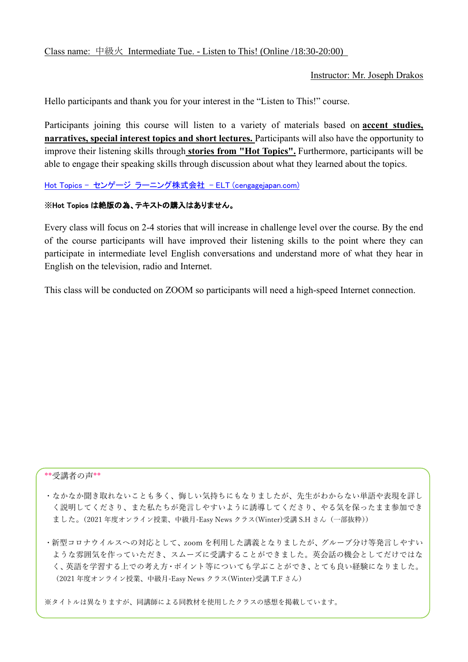Instructor: Mr. Joseph Drakos

Hello participants and thank you for your interest in the "Listen to This!" course.

Participants joining this course will listen to a variety of materials based on **accent studies, narratives, special interest topics and short lectures.** Participants will also have the opportunity to improve their listening skills through **stories from "Hot Topics".** Furthermore, participants will be able to engage their speaking skills through discussion about what they learned about the topics.

Hot Topics - センゲージ ラーニング株式会社 - [ELT \(cengagejapan.com\)](http://cengagejapan.com/elt/Reading/page/?no=1207886260c6w2y)

## ※Hot Topics は絶版の為、テキストの購入はありません。

Every class will focus on 2-4 stories that will increase in challenge level over the course. By the end of the course participants will have improved their listening skills to the point where they can participate in intermediate level English conversations and understand more of what they hear in English on the television, radio and Internet.

This class will be conducted on ZOOM so participants will need a high-speed Internet connection.

## \*\*受講者の声\*\*

・なかなか聞き取れないことも多く、悔しい気持ちにもなりましたが、先生がわからない単語や表現を詳し く説明してくださり、また私たちが発言しやすいように誘導してくださり、やる気を保ったまま参加でき ました。(2021年度オンライン授業、中級月-Easy News クラス(Winter)受講 S.H さん(一部抜粋))

・新型コロナウイルスへの対応として、zoom を利用した講義となりましたが、グループ分け等発言しやすい ような雰囲気を作っていただき、スムーズに受講することができました。英会話の機会としてだけではな く、英語を学習する上での考え方・ポイント等についても学ぶことができ、とても良い経験になりました。 (2021 年度オンライン授業、中級月-Easy News クラス(Winter)受講 T.F さん)

※タイトルは異なりますが、同講師による同教材を使用したクラスの感想を掲載しています。